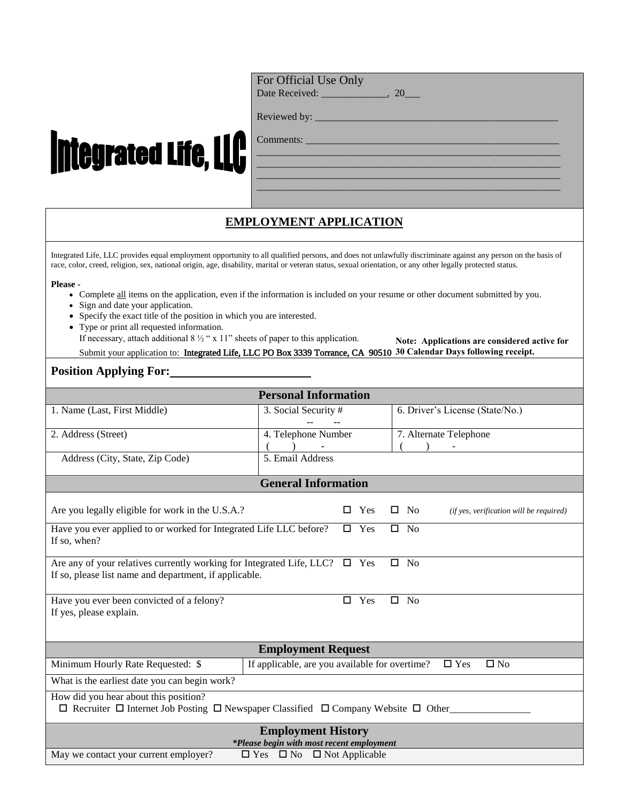## For Official Use Only

Date Received: \_\_\_\_\_\_\_\_\_\_\_\_\_, 20\_

\_\_\_\_\_\_\_\_\_\_\_\_\_\_\_\_\_\_\_\_\_\_\_\_\_\_\_\_\_\_\_\_\_\_\_\_\_\_\_\_\_\_\_\_\_\_\_\_\_\_\_\_\_\_\_\_\_\_\_\_ \_\_\_\_\_\_\_\_\_\_\_\_\_\_\_\_\_\_\_\_\_\_\_\_\_\_\_\_\_\_\_\_\_\_\_\_\_\_\_\_\_\_\_\_\_\_\_\_\_\_\_\_\_\_\_\_\_\_\_\_ \_\_\_\_\_\_\_\_\_\_\_\_\_\_\_\_\_\_\_\_\_\_\_\_\_\_\_\_\_\_\_\_\_\_\_\_\_\_\_\_\_\_\_\_\_\_\_\_\_\_\_\_\_\_\_\_\_\_\_\_ \_\_\_\_\_\_\_\_\_\_\_\_\_\_\_\_\_\_\_\_\_\_\_\_\_\_\_\_\_\_\_\_\_\_\_\_\_\_\_\_\_\_\_\_\_\_\_\_\_\_\_\_\_\_\_\_\_\_\_\_

| Reviewed by: |  |
|--------------|--|
|              |  |

# **Integrated Life, LLC**

Comments:

# **EMPLOYMENT APPLICATION**

Integrated Life, LLC provides equal employment opportunity to all qualified persons, and does not unlawfully discriminate against any person on the basis of race, color, creed, religion, sex, national origin, age, disability, marital or veteran status, sexual orientation, or any other legally protected status.

#### **Please -**

- Complete all items on the application, even if the information is included on your resume or other document submitted by you.
- Sign and date your application.
- Specify the exact title of the position in which you are interested.
- Type or print all requested information.

If necessary, attach additional  $8\frac{1}{2}$  " x 11" sheets of paper to this application. Submit your application to: Integrated Life, LLC PO Box 3339 Torrance, CA 90510 **30 Calendar Days following receipt.Note: Applications are considered active for**

### **Position Applying For:**

| <b>Personal Information</b>                                                                                                                                      |                            |                     |                            |  |                                                         |  |  |  |
|------------------------------------------------------------------------------------------------------------------------------------------------------------------|----------------------------|---------------------|----------------------------|--|---------------------------------------------------------|--|--|--|
| 1. Name (Last, First Middle)                                                                                                                                     | 3. Social Security #       |                     |                            |  | 6. Driver's License (State/No.)                         |  |  |  |
| 2. Address (Street)                                                                                                                                              |                            | 4. Telephone Number |                            |  | 7. Alternate Telephone                                  |  |  |  |
|                                                                                                                                                                  |                            |                     |                            |  |                                                         |  |  |  |
| 5. Email Address<br>Address (City, State, Zip Code)                                                                                                              |                            |                     |                            |  |                                                         |  |  |  |
|                                                                                                                                                                  | <b>General Information</b> |                     |                            |  |                                                         |  |  |  |
| Are you legally eligible for work in the U.S.A.?                                                                                                                 |                            | п                   | Yes                        |  | $\square$ No<br>(if yes, verification will be required) |  |  |  |
| Have you ever applied to or worked for Integrated Life LLC before?<br>$\Box$ Yes<br>$\square$ No<br>If so, when?                                                 |                            |                     |                            |  |                                                         |  |  |  |
| Are any of your relatives currently working for Integrated Life, LLC?<br>$\square$ No<br>$\square$ Yes<br>If so, please list name and department, if applicable. |                            |                     |                            |  |                                                         |  |  |  |
| Have you ever been convicted of a felony?<br>If yes, please explain.                                                                                             |                            |                     | Yes                        |  | $\square$ No                                            |  |  |  |
| <b>Employment Request</b>                                                                                                                                        |                            |                     |                            |  |                                                         |  |  |  |
| If applicable, are you available for overtime?<br>Minimum Hourly Rate Requested: \$                                                                              |                            |                     | $\Box$ Yes<br>$\square$ No |  |                                                         |  |  |  |
| What is the earliest date you can begin work?                                                                                                                    |                            |                     |                            |  |                                                         |  |  |  |
| How did you hear about this position?<br>$\Box$ Recruiter $\Box$ Internet Job Posting $\Box$ Newspaper Classified $\Box$ Company Website $\Box$ Other            |                            |                     |                            |  |                                                         |  |  |  |
| <b>Employment History</b><br>*Please begin with most recent employment<br>May we contact your current employer?<br>$\Box$ Yes $\Box$ No $\Box$ Not Applicable    |                            |                     |                            |  |                                                         |  |  |  |
|                                                                                                                                                                  |                            |                     |                            |  |                                                         |  |  |  |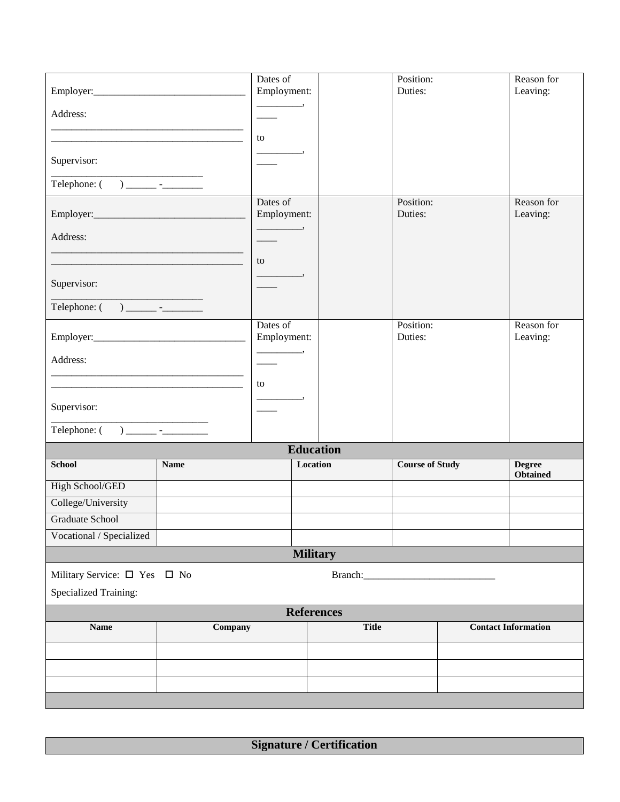|                                              |                         | Dates of<br>Employment: |                              | Position:<br>Duties:   |                        | Reason for<br>Leaving:           |
|----------------------------------------------|-------------------------|-------------------------|------------------------------|------------------------|------------------------|----------------------------------|
| Address:                                     |                         |                         |                              |                        |                        |                                  |
|                                              |                         |                         |                              |                        |                        |                                  |
|                                              |                         | to                      |                              |                        |                        |                                  |
| Supervisor:                                  |                         |                         |                              |                        |                        |                                  |
|                                              |                         |                         |                              |                        |                        |                                  |
|                                              |                         | Dates of<br>Employment: |                              | Position:<br>Duties:   |                        | Reason for<br>Leaving:           |
| Address:                                     |                         |                         |                              |                        |                        |                                  |
|                                              |                         | to                      |                              |                        |                        |                                  |
|                                              |                         |                         |                              |                        |                        |                                  |
| Supervisor:                                  |                         |                         |                              |                        |                        |                                  |
|                                              |                         |                         |                              |                        |                        |                                  |
|                                              | Dates of<br>Employment: |                         | Position:<br>Duties:         |                        | Reason for<br>Leaving: |                                  |
| Address:                                     |                         |                         |                              |                        |                        |                                  |
|                                              |                         |                         |                              |                        |                        |                                  |
|                                              |                         | to                      |                              |                        |                        |                                  |
| Supervisor:                                  |                         |                         |                              |                        |                        |                                  |
|                                              |                         |                         |                              |                        |                        |                                  |
| <b>School</b>                                | <b>Name</b>             |                         | <b>Education</b><br>Location | <b>Course of Study</b> |                        |                                  |
|                                              |                         |                         |                              |                        |                        | <b>Degree</b><br><b>Obtained</b> |
| High School/GED                              |                         |                         |                              |                        |                        |                                  |
| College/University<br><b>Graduate School</b> |                         |                         |                              |                        |                        |                                  |
| Vocational / Specialized                     |                         |                         |                              |                        |                        |                                  |
| <b>Military</b>                              |                         |                         |                              |                        |                        |                                  |
| Military Service: $\square$ Yes $\square$ No |                         |                         |                              |                        |                        |                                  |
| <b>Specialized Training:</b>                 |                         |                         |                              |                        |                        |                                  |
| <b>References</b>                            |                         |                         |                              |                        |                        |                                  |
| Company<br><b>Name</b>                       |                         |                         | <b>Title</b>                 |                        |                        | <b>Contact Information</b>       |
|                                              |                         |                         |                              |                        |                        |                                  |
|                                              |                         |                         |                              |                        |                        |                                  |
|                                              |                         |                         |                              |                        |                        |                                  |
|                                              |                         |                         |                              |                        |                        |                                  |

**Signature / Certification**